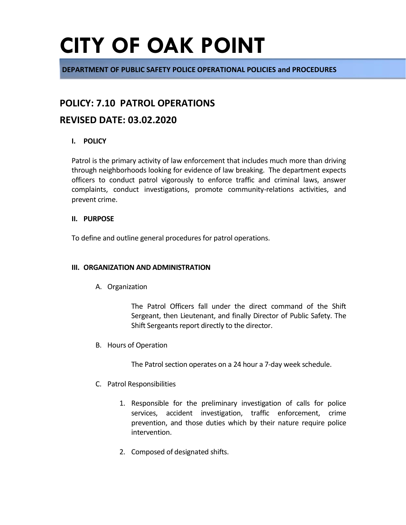**DEPARTMENT OF PUBLIC SAFETY POLICE OPERATIONAL POLICIES and PROCEDURES**

# **POLICY: 7.10 PATROL OPERATIONS**

# **REVISED DATE: 03.02.2020**

## **I. POLICY**

Patrol is the primary activity of law enforcement that includes much more than driving through neighborhoods looking for evidence of law breaking. The department expects officers to conduct patrol vigorously to enforce traffic and criminal laws, answer complaints, conduct investigations, promote community-relations activities, and prevent crime.

### **II. PURPOSE**

To define and outline general procedures for patrol operations.

### **III. ORGANIZATION AND ADMINISTRATION**

A. Organization

The Patrol Officers fall under the direct command of the Shift Sergeant, then Lieutenant, and finally Director of Public Safety. The Shift Sergeants report directly to the director.

B. Hours of Operation

The Patrol section operates on a 24 hour a 7-day week schedule.

- C. Patrol Responsibilities
	- 1. Responsible for the preliminary investigation of calls for police services, accident investigation, traffic enforcement, crime prevention, and those duties which by their nature require police intervention.
	- 2. Composed of designated shifts.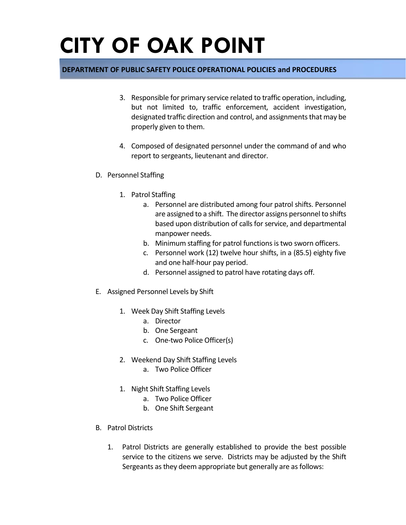## **DEPARTMENT OF PUBLIC SAFETY POLICE OPERATIONAL POLICIES and PROCEDURES**

- 3. Responsible for primary service related to traffic operation, including, but not limited to, traffic enforcement, accident investigation, designated traffic direction and control, and assignments that may be properly given to them.
- 4. Composed of designated personnel under the command of and who report to sergeants, lieutenant and director.
- D. Personnel Staffing
	- 1. Patrol Staffing
		- a. Personnel are distributed among four patrol shifts. Personnel are assigned to a shift. The director assigns personnel to shifts based upon distribution of calls for service, and departmental manpower needs.
		- b. Minimum staffing for patrol functions is two sworn officers.
		- c. Personnel work (12) twelve hour shifts, in a (85.5) eighty five and one half-hour pay period.
		- d. Personnel assigned to patrol have rotating days off.
- E. Assigned Personnel Levels by Shift
	- 1. Week Day Shift Staffing Levels
		- a. Director
		- b. One Sergeant
		- c. One-two Police Officer(s)
	- 2. Weekend Day Shift Staffing Levels
		- a. Two Police Officer
	- 1. Night Shift Staffing Levels
		- a. Two Police Officer
		- b. One Shift Sergeant
- B. Patrol Districts
	- 1. Patrol Districts are generally established to provide the best possible service to the citizens we serve. Districts may be adjusted by the Shift Sergeants as they deem appropriate but generally are as follows: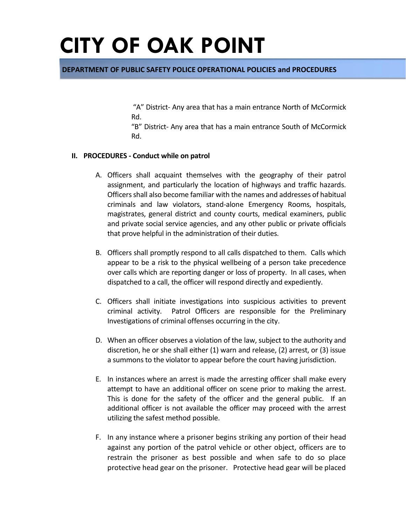### **DEPARTMENT OF PUBLIC SAFETY POLICE OPERATIONAL POLICIES and PROCEDURES**

"A" District- Any area that has a main entrance North of McCormick Rd.

"B" District- Any area that has a main entrance South of McCormick Rd.

#### **II. PROCEDURES - Conduct while on patrol**

- A. Officers shall acquaint themselves with the geography of their patrol assignment, and particularly the location of highways and traffic hazards. Officers shall also become familiar with the names and addresses of habitual criminals and law violators, stand-alone Emergency Rooms, hospitals, magistrates, general district and county courts, medical examiners, public and private social service agencies, and any other public or private officials that prove helpful in the administration of their duties.
- B. Officers shall promptly respond to all calls dispatched to them. Calls which appear to be a risk to the physical wellbeing of a person take precedence over calls which are reporting danger or loss of property. In all cases, when dispatched to a call, the officer will respond directly and expediently.
- C. Officers shall initiate investigations into suspicious activities to prevent criminal activity. Patrol Officers are responsible for the Preliminary Investigations of criminal offenses occurring in the city.
- D. When an officer observes a violation of the law, subject to the authority and discretion, he or she shall either (1) warn and release, (2) arrest, or (3) issue a summons to the violator to appear before the court having jurisdiction.
- E. In instances where an arrest is made the arresting officer shall make every attempt to have an additional officer on scene prior to making the arrest. This is done for the safety of the officer and the general public. If an additional officer is not available the officer may proceed with the arrest utilizing the safest method possible.
- F. In any instance where a prisoner begins striking any portion of their head against any portion of the patrol vehicle or other object, officers are to restrain the prisoner as best possible and when safe to do so place protective head gear on the prisoner. Protective head gear will be placed